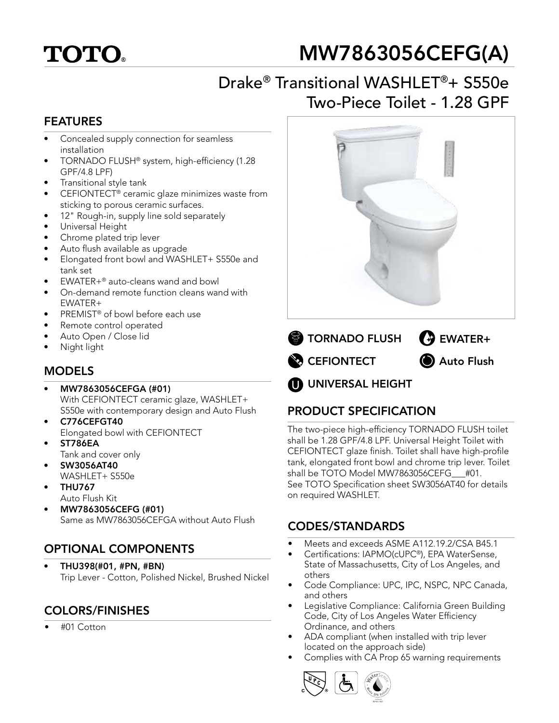# **TOTO**

## MW7863056CEFG(A)

## Drake® Transitional WASHLET®+ S550e Two-Piece Toilet - 1.28 GPF

### FEATURES

- Concealed supply connection for seamless installation
- TORNADO FLUSH® system, high-efficiency (1.28 GPF/4.8 LPF)
- Transitional style tank
- CEFIONTECT<sup>®</sup> ceramic glaze minimizes waste from sticking to porous ceramic surfaces.
- 12" Rough-in, supply line sold separately
- Universal Height
- Chrome plated trip lever
- Auto flush available as upgrade
- Elongated front bowl and WASHLET+ S550e and tank set
- EWATER+® auto-cleans wand and bowl
- On-demand remote function cleans wand with EWATER+
- PREMIST® of bowl before each use
- Remote control operated
- Auto Open / Close lid
- Night light

#### MODELS

- MW7863056CEFGA (#01) With CEFIONTECT ceramic glaze, WASHLET+ S550e with contemporary design and Auto Flush
- C776CEFGT40 Elongated bowl with CEFIONTECT
- ST786EA
- Tank and cover only
- SW3056AT40 WASHLET+ S550e
- THU767
- Auto Flush Kit
- MW7863056CEFG (#01) Same as MW7863056CEFGA without Auto Flush

## OPTIONAL COMPONENTS

• THU398(#01, #PN, #BN) Trip Lever - Cotton, Polished Nickel, Brushed Nickel

### COLORS/FINISHES

• #01 Cotton



- **CEFIONTECT S** TORNADO FLUSH  $\bigoplus$  EWATER+ **Auto Flush**
- **UNIVERSAL HEIGHT**

## PRODUCT SPECIFICATION

The two-piece high-efficiency TORNADO FLUSH toilet shall be 1.28 GPF/4.8 LPF. Universal Height Toilet with CEFIONTECT glaze finish. Toilet shall have high-profile tank, elongated front bowl and chrome trip lever. Toilet shall be TOTO Model MW7863056CEFG #01. See TOTO Specification sheet SW3056AT40 for details on required WASHLET.

#### CODES/STANDARDS

- Meets and exceeds ASME A112.19.2/CSA B45.1
- Certifications: IAPMO(cUPC®), EPA WaterSense, State of Massachusetts, City of Los Angeles, and others
- Code Compliance: UPC, IPC, NSPC, NPC Canada, and others
- Legislative Compliance: California Green Building Code, City of Los Angeles Water Efficiency Ordinance, and others
- ADA compliant (when installed with trip lever located on the approach side)
- Complies with CA Prop 65 warning requirements